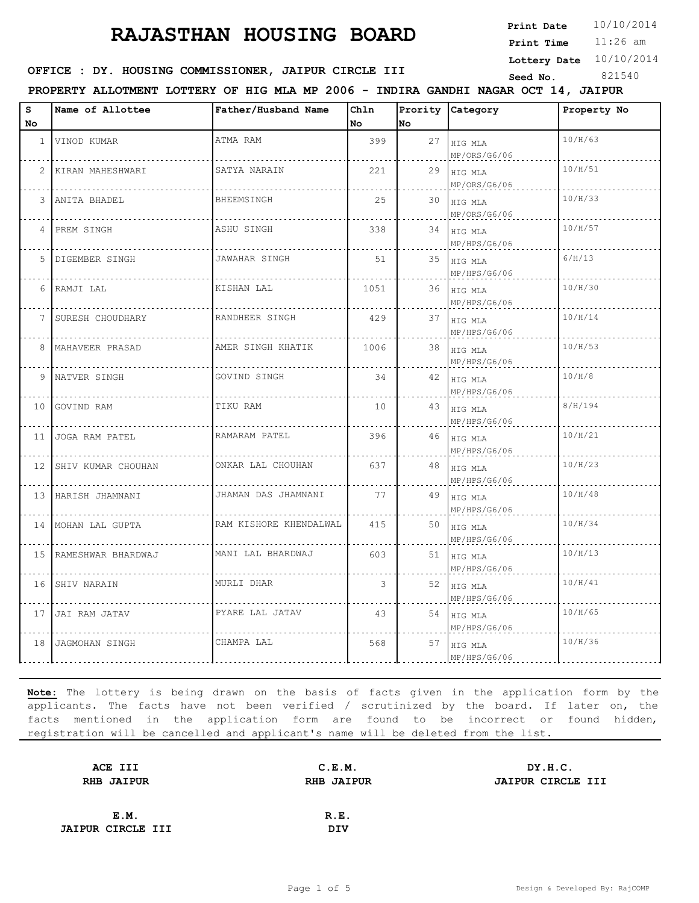**Print Date**  $10/10/2014$ 

11:26 am **Print Time**

**Lottery Date** 10/10/2014

### **SEED OFFICE : DY. HOUSING COMMISSIONER, JAIPUR CIRCLE III** Seed No. 321540

**PROPERTY ALLOTMENT LOTTERY OF HIG MLA MP 2006 - INDIRA GANDHI NAGAR OCT 14, JAIPUR**

| s              | Name of Allottee      | Father/Husband Name    | Chln |    | Prority Category               | Property No |
|----------------|-----------------------|------------------------|------|----|--------------------------------|-------------|
| No             |                       |                        | No   | No |                                |             |
| $\mathbf{1}$   | VINOD KUMAR           | ATMA RAM               | 399  |    | 27 HIG MLA<br>MP/ORS/G6/06     | 10/H/63     |
| $\overline{2}$ | KIRAN MAHESHWARI      | SATYA NARAIN           | 221  |    | 29 $HIG MLA$<br>MP/ORS/G6/06   | 10/H/51     |
| 3              | ANITA BHADEL          | BHEEMSINGH             | 25   |    | 30 HIG MLA<br>MP/ORS/G6/06     | 10/H/33     |
| 4              | PREM SINGH            | ASHU SINGH             | 338  |    | 34 HIG MLA<br>MP/HPS/G6/06     | 10/H/57     |
|                | 5 DIGEMBER SINGH      | JAWAHAR SINGH          | 51   |    | 35 HIG MLA<br>MP/HPS/G6/06     | 6/H/13      |
|                | 6 RAMJI LAL           | KISHAN LAL             | 1051 |    | $36$   HIG MLA<br>MP/HPS/G6/06 | 10/H/30     |
|                | 7 SURESH CHOUDHARY    | RANDHEER SINGH         | 429  |    | 37 HIG MLA<br>MP/HPS/G6/06     | 10/H/14     |
|                | 8   MAHAVEER PRASAD   | AMER SINGH KHATIK      | 1006 |    | 38 HIG MLA<br>MP/HPS/G6/06     | 10/H/53     |
|                | 9 NATVER SINGH        | GOVIND SINGH           | 34   |    | 42 HIG MLA<br>MP/HPS/G6/06     | 10/H/8      |
| 10             | GOVIND RAM            | TIKU RAM               | 10   |    | 43 HIG MLA<br>MP/HPS/G6/06     | 8/H/194     |
| 11             | JOGA RAM PATEL        | RAMARAM PATEL          | 396  |    | 46 HIG MLA<br>MP/HPS/G6/06     | 10/H/21     |
|                | 12 SHIV KUMAR CHOUHAN | ONKAR LAL CHOUHAN      | 637  |    | 48 HIG MLA<br>MP/HPS/G6/06     | 10/H/23     |
|                | 13 HARISH JHAMNANI    | JHAMAN DAS JHAMNANI    | 77   |    | 49 HIG MLA<br>MP/HPS/G6/06     | 10/H/48     |
|                | 14 MOHAN LAL GUPTA    | RAM KISHORE KHENDALWAL | 415  |    | 50 HIG MLA<br>MP/HPS/G6/06     | 10/H/34     |
|                | 15 RAMESHWAR BHARDWAJ | MANI LAL BHARDWAJ      | 603  |    | 51 HIG MLA<br>MP/HPS/G6/06     | 10/H/13     |
| 16             | SHIV NARAIN           | MURLI DHAR             | 3    |    | 52 HIG MLA<br>MP/HPS/G6/06     | 10/H/41     |
| 17             | JAI RAM JATAV         | PYARE LAL JATAV        | 43   |    | 54 HIG MLA<br>MP/HPS/G6/06     | 10/H/65     |
| 18             | JAGMOHAN SINGH        | CHAMPA LAL             | 568  |    | 57 HIG MLA<br>MP/HPS/G6/06     | 10/H/36     |

| ACE III                  | C.E.M.            | DY.H.C.                  |
|--------------------------|-------------------|--------------------------|
| <b>RHB JAIPUR</b>        | <b>RHB JAIPUR</b> | <b>JAIPUR CIRCLE III</b> |
|                          |                   |                          |
| E.M.                     | R.E.              |                          |
| <b>JAIPUR CIRCLE III</b> | <b>DIV</b>        |                          |
|                          |                   |                          |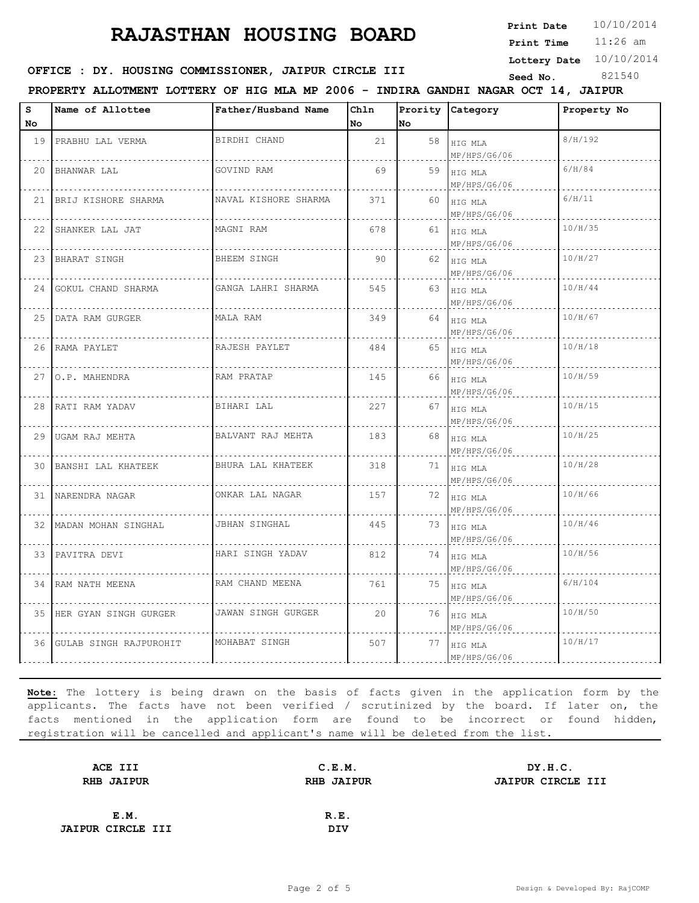**Print Date**  $10/10/2014$ 

11:26 am **Print Time**

**Lottery Date** 10/10/2014

### **SEED OFFICE : DY. HOUSING COMMISSIONER, JAIPUR CIRCLE III** Seed No. 321540

**PROPERTY ALLOTMENT LOTTERY OF HIG MLA MP 2006 - INDIRA GANDHI NAGAR OCT 14, JAIPUR**

| S               | Name of Allottee          | Father/Husband Name  | Chln |     | Prority Category             | Property No |
|-----------------|---------------------------|----------------------|------|-----|------------------------------|-------------|
| No.             |                           |                      | No   | No. |                              |             |
|                 | 19 PRABHU LAL VERMA       | BIRDHI CHAND         | 21   | 58  | HIG MLA<br>MP/HPS/G6/06      | 8/H/192     |
| 20 <sup>1</sup> | BHANWAR LAL               | GOVIND RAM           | 69   |     | 59 HIG MLA<br>MP/HPS/G6/06   | 6/H/84      |
|                 | 21   BRIJ KISHORE SHARMA  | NAVAL KISHORE SHARMA | 371  | 60  | HIG MLA<br>MP/HPS/G6/06      | 6/H/11      |
|                 | 22 SHANKER LAL JAT        | MAGNI RAM            | 678  | 61  | HIG MLA<br>MP/HPS/G6/06      | 10/H/35     |
|                 | 23 BHARAT SINGH           | BHEEM SINGH          | 90   |     | 62 HIG MLA<br>MP/HPS/G6/06   | 10/H/27     |
|                 | 24 GOKUL CHAND SHARMA     | GANGA LAHRI SHARMA   | 545  | 63  | HIG MLA<br>MP/HPS/G6/06      | 10/H/44     |
|                 | 25   DATA RAM GURGER      | MALA RAM             | 349  | 64  | HIG MLA<br>MP/HPS/G6/06      | 10/H/67     |
|                 | 26 RAMA PAYLET            | RAJESH PAYLET        | 484  | 65  | HIG MLA<br>MP/HPS/G6/06      | 10/H/18     |
|                 | 27   O.P. MAHENDRA        | RAM PRATAP           | 145  | 66  | HIG MLA<br>MP/HPS/G6/06      | 10/H/59     |
|                 | 28 RATI RAM YADAV         | BIHARI LAL           | 227  | 67  | HIG MLA<br>MP/HPS/G6/06      | 10/H/15     |
|                 | 29 UGAM RAJ MEHTA         | BALVANT RAJ MEHTA    | 183  | 68  | HIG MLA<br>MP/HPS/G6/06      | 10/H/25     |
|                 | 30 BANSHI LAL KHATEEK     | BHURA LAL KHATEEK    | 318  | 71  | HIG MLA<br>MP/HPS/G6/06      | 10/H/28     |
|                 | 31 NARENDRA NAGAR         | ONKAR LAL NAGAR      | 157  |     | 72   HIG MLA<br>MP/HPS/G6/06 | 10/H/66     |
|                 | 32   MADAN MOHAN SINGHAL  | <b>JBHAN SINGHAL</b> | 445  | 73  | HIG MLA<br>MP/HPS/G6/06      | 10/H/46     |
|                 | 33 PAVITRA DEVI           | HARI SINGH YADAV     | 812  | 74  | HIG MLA<br>MP/HPS/G6/06      | 10/H/56     |
|                 | 34 RAM NATH MEENA         | RAM CHAND MEENA      | 761  | 75  | HIG MLA<br>MP/HPS/G6/06      | 6/H/104     |
|                 | 35 HER GYAN SINGH GURGER  | JAWAN SINGH GURGER   | 20   | 76  | HIG MLA<br>MP/HPS/G6/06      | 10/H/50     |
|                 | 36 GULAB SINGH RAJPUROHIT | MOHABAT SINGH        | 507  | 77  | HIG MLA<br>MP/HPS/G6/06      | 10/H/17     |

| ACE III                  | C.E.M.            | DY.H.C.                  |
|--------------------------|-------------------|--------------------------|
| <b>RHB JAIPUR</b>        | <b>RHB JAIPUR</b> | <b>JAIPUR CIRCLE III</b> |
|                          |                   |                          |
| E.M.                     | R.E.              |                          |
| <b>JAIPUR CIRCLE III</b> | <b>DIV</b>        |                          |
|                          |                   |                          |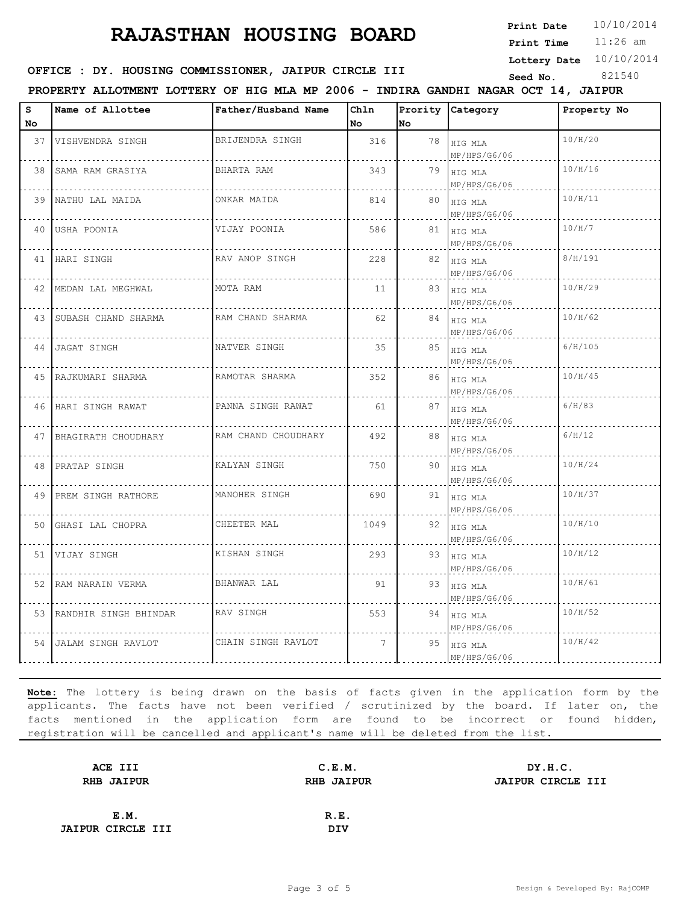**Print Date**  $10/10/2014$ 

11:26 am **Print Time**

**Lottery Date** 10/10/2014

### **SEED OFFICE : DY. HOUSING COMMISSIONER, JAIPUR CIRCLE III** Seed No. 321540

**PROPERTY ALLOTMENT LOTTERY OF HIG MLA MP 2006 - INDIRA GANDHI NAGAR OCT 14, JAIPUR**

| S<br>No | Name of Allottee         | Father/Husband Name | Chln<br>No  | No | Prority Category               | Property No |
|---------|--------------------------|---------------------|-------------|----|--------------------------------|-------------|
|         | 37 VISHVENDRA SINGH      | BRIJENDRA SINGH     | 316         | 78 | HIG MLA<br>MP/HPS/G6/06        | 10/H/20     |
|         | 38 SAMA RAM GRASIYA      | BHARTA RAM          | 343         |    | $79$   HIG MLA<br>MP/HPS/G6/06 | 10/H/16     |
|         | 39 NATHU LAL MAIDA       | ONKAR MAIDA         | 814         |    | 80 HIG MLA<br>MP/HPS/G6/06     | 10/H/11     |
|         | 40 USHA POONIA           | VIJAY POONIA        | 586         |    | 81 HIG MLA<br>MP/HPS/G6/06     | 10/H/7      |
|         | 41 HARI SINGH            | RAV ANOP SINGH      | 228         |    | 82   HIG MLA<br>MP/HPS/G6/06   | 8/H/191     |
|         | 42   MEDAN LAL MEGHWAL   | MOTA RAM            | 11          |    | 83   HIG MLA<br>MP/HPS/G6/06   | 10/H/29     |
|         | 43 SUBASH CHAND SHARMA   | RAM CHAND SHARMA    | 62          |    | 84   HIG MLA<br>MP/HPS/G6/06   | 10/H/62     |
|         | 44 JAGAT SINGH           | NATVER SINGH        | 35          | 85 | HIG MLA<br>MP/HPS/G6/06        | 6/H/105     |
|         | 45   RAJKUMARI SHARMA    | RAMOTAR SHARMA      | 352         | 86 | HIG MLA<br>MP/HPS/G6/06        | 10/H/45     |
|         | 46 HARI SINGH RAWAT      | PANNA SINGH RAWAT   | 61          | 87 | HIG MLA<br>MP/HPS/G6/06        | 6/H/83      |
|         | 47 BHAGIRATH CHOUDHARY   | RAM CHAND CHOUDHARY | 492         |    | 88   HIG MLA<br>MP/HPS/G6/06   | 6/H/12      |
|         | 48 PRATAP SINGH          | KALYAN SINGH        | 750         |    | 90 HIG MLA<br>MP/HPS/G6/06     | 10/H/24     |
|         | 49 PREM SINGH RATHORE    | MANOHER SINGH       | 690         | 91 | HIG MLA<br>MP/HPS/G6/06        | 10/H/37     |
|         | 50 GHASI LAL CHOPRA      | CHEETER MAL         | 1049        |    | 92 HIG MLA<br>MP/HPS/G6/06     | 10/H/10     |
|         | 51 VIJAY SINGH           | KISHAN SINGH        | 293         | 93 | HIG MLA<br>MP/HPS/G6/06        | 10/H/12     |
|         | 52 RAM NARAIN VERMA      | BHANWAR LAL         | 91          | 93 | HIG MLA<br>MP/HPS/G6/06        | 10/H/61     |
|         | 53 RANDHIR SINGH BHINDAR | RAV SINGH           | 553         | 94 | HIG MLA<br>MP/HPS/G6/06        | 10/H/52     |
|         | 54 JALAM SINGH RAVLOT    | CHAIN SINGH RAVLOT  | $7^{\circ}$ | 95 | HIG MLA<br>MP/HPS/G6/06        | 10/H/42     |

| ACE III                  | C.E.M.            | DY.H.C.           |
|--------------------------|-------------------|-------------------|
| <b>RHB JAIPUR</b>        | <b>RHB JAIPUR</b> | JAIPUR CIRCLE III |
|                          |                   |                   |
| E.M.                     | R.E.              |                   |
| <b>JAIPUR CIRCLE III</b> | <b>DIV</b>        |                   |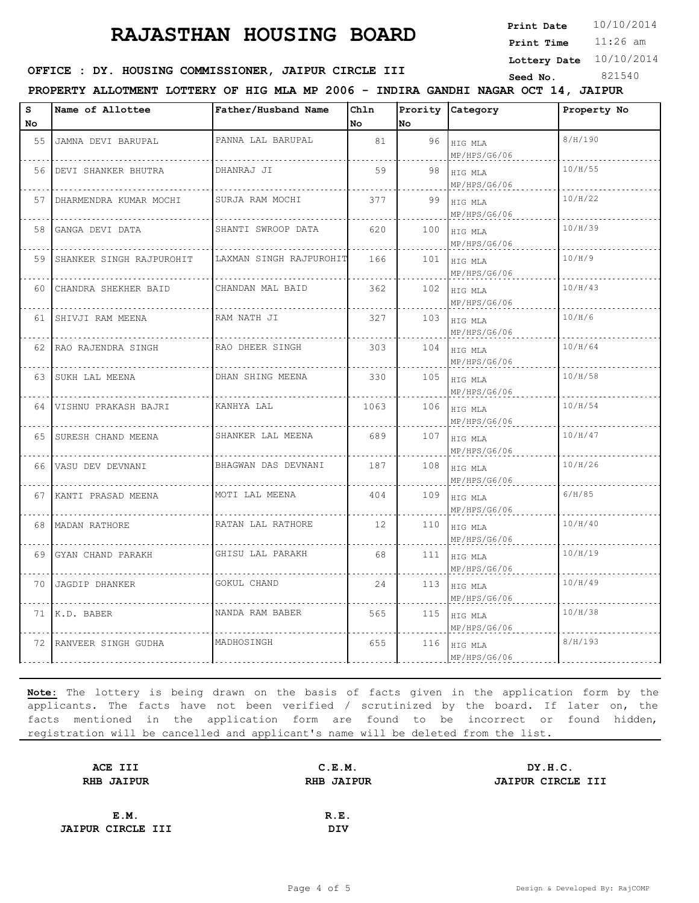**Print Date**  $10/10/2014$ 

11:26 am **Print Time**

**Lottery Date** 10/10/2014

#### **SEED : DY. HOUSING COMMISSIONER, JAIPUR CIRCLE III** Seed No. 821540

**PROPERTY ALLOTMENT LOTTERY OF HIG MLA MP 2006 - INDIRA GANDHI NAGAR OCT 14, JAIPUR**

| s    | Name of Allottee         | Father/Husband Name     | Chln            |     | Prority Category        | Property No |
|------|--------------------------|-------------------------|-----------------|-----|-------------------------|-------------|
| No   |                          |                         | No              | No  |                         |             |
| 55   | JAMNA DEVI BARUPAL       | PANNA LAL BARUPAL       | 81              | 96  | HIG MLA<br>MP/HPS/G6/06 | 8/H/190     |
| 56   | DEVI SHANKER BHUTRA      | DHANRAJ JI              | 59              | 98  | HIG MLA<br>MP/HPS/G6/06 | 10/H/55     |
| 57   | DHARMENDRA KUMAR MOCHI   | SURJA RAM MOCHI         | 377             | 99  | HIG MLA<br>MP/HPS/G6/06 | 10/H/22     |
| 58   | GANGA DEVI DATA          | SHANTI SWROOP DATA      | 620             | 100 | HIG MLA<br>MP/HPS/G6/06 | 10/H/39     |
| 59   | SHANKER SINGH RAJPUROHIT | LAXMAN SINGH RAJPUROHIT | 166             | 101 | HIG MLA<br>MP/HPS/G6/06 | 10/H/9      |
| 60   | CHANDRA SHEKHER BAID     | CHANDAN MAL BAID        | 362             | 102 | HIG MLA<br>MP/HPS/G6/06 | 10/H/43     |
|      | 61 SHIVJI RAM MEENA      | RAM NATH JI             | 327             | 103 | HIG MLA<br>MP/HPS/G6/06 | 10/H/6      |
|      | 62 RAO RAJENDRA SINGH    | RAO DHEER SINGH         | 303             | 104 | HIG MLA<br>MP/HPS/G6/06 | 10/H/64     |
|      | 63 SUKH LAL MEENA        | DHAN SHING MEENA        | 330             | 105 | HIG MLA<br>MP/HPS/G6/06 | 10/H/58     |
| 64 I | VISHNU PRAKASH BAJRI     | KANHYA LAL              | 1063            | 106 | HIG MLA<br>MP/HPS/G6/06 | 10/H/54     |
| 65 I | SURESH CHAND MEENA       | SHANKER LAL MEENA       | 689             | 107 | HIG MLA<br>MP/HPS/G6/06 | 10/H/47     |
| 66   | VASU DEV DEVNANI         | BHAGWAN DAS DEVNANI     | 187             | 108 | HIG MLA<br>MP/HPS/G6/06 | 10/H/26     |
| 67   | KANTI PRASAD MEENA       | MOTI LAL MEENA          | 404             | 109 | HIG MLA<br>MP/HPS/G6/06 | 6/H/85      |
|      | 68 MADAN RATHORE         | RATAN LAL RATHORE       | 12 <sup>°</sup> | 110 | HIG MLA<br>MP/HPS/G6/06 | 10/H/40     |
|      | 69 GYAN CHAND PARAKH     | GHISU LAL PARAKH        | 68              | 111 | HIG MLA<br>MP/HPS/G6/06 | 10/H/19     |
| 70 I | JAGDIP DHANKER           | GOKUL CHAND             | 24              | 113 | HIG MLA<br>MP/HPS/G6/06 | 10/H/49     |
|      | 71 K.D. BABER            | NANDA RAM BABER         | 565             | 115 | HIG MLA<br>MP/HPS/G6/06 | 10/H/38     |
| 72   | RANVEER SINGH GUDHA      | MADHOSINGH              | 655             | 116 | HIG MLA<br>MP/HPS/G6/06 | 8/H/193     |

| ACE III                  | C.E.M.            | DY.H.C.                  |
|--------------------------|-------------------|--------------------------|
| <b>RHB JAIPUR</b>        | <b>RHB JAIPUR</b> | <b>JAIPUR CIRCLE III</b> |
|                          |                   |                          |
| E.M.                     | R.E.              |                          |
| <b>JAIPUR CIRCLE III</b> | DIV               |                          |
|                          |                   |                          |